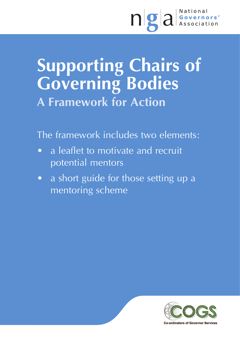# ngal Governors'

## **Supporting Chairs of Governing Bodies A Framework for Action**

The framework includes two elements:

- a leaflet to motivate and recruit potential mentors
- a short guide for those setting up a mentoring scheme



**Co-ordinators of Governor Services**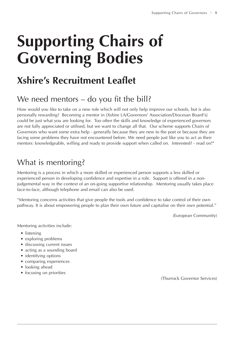## **Supporting Chairs of Governing Bodies**

## **Xshire's Recruitment Leaflet**

## We need mentors – do you fit the bill?

How would you like to take on a new role which will not only help improve our schools, but is also personally rewarding? Becoming a mentor in [Xshire LA/Governors' Association/Diocesan Board's] could be just what you are looking for. Too often the skills and knowledge of experienced governors are not fully appreciated or utilised, but we want to change all that. Our scheme supports Chairs of Governors who want some extra help - generally because they are new to the post or because they are facing some problems they have not encountered before. We need people just like you to act as their mentors: knowledgeable, willing and ready to provide support when called on. Interested? - read on!"

## What is mentoring?

Mentoring is a process in which a more skilled or experienced person supports a less skilled or experienced person in developing confidence and expertise in a role. Support is offered in a nonjudgemental way in the context of an on-going supportive relationship. Mentoring usually takes place face-to-face, although telephone and email can also be used.

"Mentoring concerns activities that give people the tools and confidence to take control of their own pathway. It is about empowering people to plan their own future and capitalise on their own potential."

(European Community)

Mentoring activities include:

- listening
- exploring problems
- discussing current issues
- acting as a sounding board
- identifying options
- comparing experiences
- looking ahead
- focusing on priorities

(Thurrock Governor Services)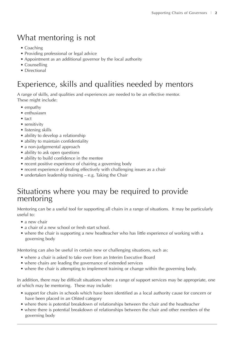## What mentoring is not

- Coaching
- Providing professional or legal advice
- Appointment as an additional governor by the local authority
- Counselling
- Directional

## Experience, skills and qualities needed by mentors

A range of skills, and qualities and experiences are needed to be an effective mentor. These might include:

- empathy
- enthusiasm
- tact
- sensitivity
- listening skills
- ability to develop a relationship
- ability to maintain confidentiality
- a non-judgemental approach
- ability to ask open questions
- ability to build confidence in the mentee
- recent positive experience of chairing a governing body
- recent experience of dealing effectively with challenging issues as a chair
- undertaken leadership training e.g. Taking the Chair

### Situations where you may be required to provide mentoring

Mentoring can be a useful tool for supporting all chairs in a range of situations. It may be particularly useful to:

- a new chair
- a chair of a new school or fresh start school.
- where the chair is supporting a new headteacher who has little experience of working with a governing body

Mentoring can also be useful in certain new or challenging situations, such as:

- where a chair is asked to take over from an Interim Executive Board
- where chairs are leading the governance of extended services
- where the chair is attempting to implement training or change within the governing body.

In addition, there may be difficult situations where a range of support services may be appropriate, one of which may be mentoring. These may include:

- support for chairs in schools which have been identified as a local authority cause for concern or have been placed in an Ofsted category
- where there is potential breakdown of relationships between the chair and the headteacher
- where there is potential breakdown of relationships between the chair and other members of the governing body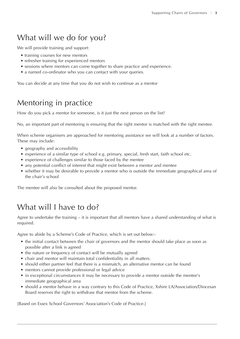## What will we do for you?

We will provide training and support:

- training courses for new mentors
- refresher training for experienced mentors
- sessions where mentors can come together to share practice and experience.
- a named co-ordinator who you can contact with your queries.

You can decide at any time that you do not wish to continue as a mentor

### Mentoring in practice

How do you pick a mentor for someone, is it just the next person on the list?

No, an important part of mentoring is ensuring that the right mentor is matched with the right mentee.

When scheme organisers are approached for mentoring assistance we will look at a number of factors. These may include:

- geography and accessibility
- experience of a similar type of school e.g. primary, special, fresh start, faith school etc.
- experience of challenges similar to those faced by the mentee
- any potential conflict of interest that might exist between a mentor and mentee
- whether it may be desirable to provide a mentor who is outside the immediate geographical area of the chair's school

The mentee will also be consulted about the proposed mentor.

## What will I have to do?

Agree to undertake the training – it is important that all mentors have a shared understanding of what is required.

Agree to abide by a Scheme's Code of Practice, which is set out below:-

- the initial contact between the chair of governors and the mentor should take place as soon as possible after a link is agreed
- the nature or frequency of contact will be mutually agreed
- chair and mentor will maintain total confidentiality in all matters.
- should either partner feel that there is a mismatch, an alternative mentor can be found
- mentors cannot provide professional or legal advice
- in exceptional circumstances it may be necessary to provide a mentor outside the mentee's immediate geographical area
- should a mentor behave in a way contrary to this Code of Practice, Xshire LA/Association/Diocesan Board reserves the right to withdraw that mentor from the scheme.

[Based on Essex School Governors' Association's Code of Practice.]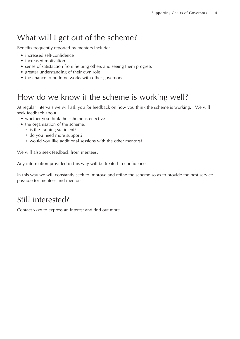## What will I get out of the scheme?

Benefits frequently reported by mentors include:

- increased self-confidence
- increased motivation
- sense of satisfaction from helping others and seeing them progress
- greater understanding of their own role
- the chance to build networks with other governors

## How do we know if the scheme is working well?

At regular intervals we will ask you for feedback on how you think the scheme is working. We will seek feedback about:

- whether you think the scheme is effective
- the organisation of the scheme:
	- is the training sufficient?
	- do you need more support?
	- would you like additional sessions with the other mentors?

We will also seek feedback from mentees.

Any information provided in this way will be treated in confidence.

In this way we will constantly seek to improve and refine the scheme so as to provide the best service possible for mentees and mentors.

## Still interested?

Contact xxxx to express an interest and find out more.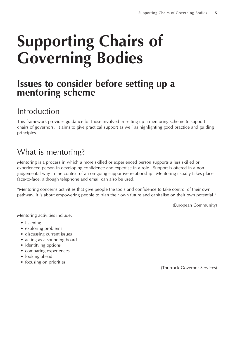## **Supporting Chairs of Governing Bodies**

## **Issues to consider before setting up a mentoring scheme**

## Introduction

This framework provides guidance for those involved in setting up a mentoring scheme to support chairs of governors. It aims to give practical support as well as highlighting good practice and guiding principles.

## What is mentoring?

Mentoring is a process in which a more skilled or experienced person supports a less skilled or experienced person in developing confidence and expertise in a role. Support is offered in a nonjudgemental way in the context of an on-going supportive relationship. Mentoring usually takes place face-to-face, although telephone and email can also be used.

"Mentoring concerns activities that give people the tools and confidence to take control of their own pathway. It is about empowering people to plan their own future and capitalise on their own potential."

(European Community)

Mentoring activities include:

- listening
- exploring problems
- discussing current issues
- acting as a sounding board
- identifying options
- comparing experiences
- looking ahead
- focusing on priorities

(Thurrock Governor Services)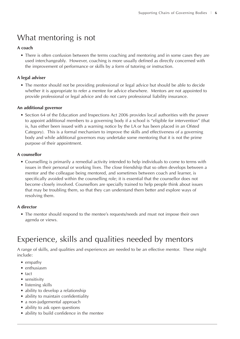## What mentoring is not

#### **A coach**

• There is often confusion between the terms coaching and mentoring and in some cases they are used interchangeably. However, coaching is more usually defined as directly concerned with the improvement of performance or skills by a form of tutoring or instruction.

#### **A legal adviser**

• The mentor should not be providing professional or legal advice but should be able to decide whether it is appropriate to refer a mentee for advice elsewhere. Mentors are not appointed to provide professional or legal advice and do not carry professional liability insurance.

#### **An additional governor**

• Section 64 of the Education and Inspections Act 2006 provides local authorities with the power to appoint additional members to a governing body if a school is "eligible for intervention" (that is, has either been issued with a warning notice by the LA or has been placed in an Ofsted Category). This is a formal mechanism to improve the skills and effectiveness of a governing body and while additional governors may undertake some mentoring that it is not the prime purpose of their appointment.

#### **A counsellor**

• Counselling is primarily a remedial activity intended to help individuals to come to terms with issues in their personal or working lives. The close friendship that so often develops between a mentor and the colleague being mentored, and sometimes between coach and learner, is specifically avoided within the counselling role; it is essential that the counsellor does not become closely involved. Counsellors are specially trained to help people think about issues that may be troubling them, so that they can understand them better and explore ways of resolving them.

#### **A director**

• The mentor should respond to the mentee's requests/needs and must not impose their own agenda or views.

## Experience, skills and qualities needed by mentors

A range of skills, and qualities and experiences are needed to be an effective mentor. These might include:

- empathy
- enthusiasm
- tact
- sensitivity
- listening skills
- ability to develop a relationship
- ability to maintain confidentiality
- a non-judgemental approach
- ability to ask open questions
- ability to build confidence in the mentee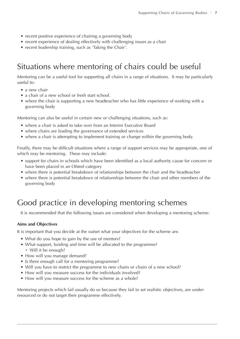- recent positive experience of chairing a governing body
- recent experience of dealing effectively with challenging issues as a chair
- recent leadership training, such as 'Taking the Chair'.

## Situations where mentoring of chairs could be useful

Mentoring can be a useful tool for supporting all chairs in a range of situations. It may be particularly useful to:

- a new chair
- a chair of a new school or fresh start school.
- where the chair is supporting a new headteacher who has little experience of working with a governing body

Mentoring can also be useful in certain new or challenging situations, such as:

- where a chair is asked to take over from an Interim Executive Board
- where chairs are leading the governance of extended services
- where a chair is attempting to implement training or change within the governing body.

Finally, there may be difficult situations where a range of support services may be appropriate, one of which may be mentoring. These may include:

- support for chairs in schools which have been identified as a local authority cause for concern or have been placed in an Ofsted category
- where there is potential breakdown of relationships between the chair and the headteacher
- where there is potential breakdown of relationships between the chair and other members of the governing body

## Good practice in developing mentoring schemes

It is recommended that the following issues are considered when developing a mentoring scheme:

#### **Aims and Objectives**

It is important that you decide at the outset what your objectives for the scheme are.

- What do you hope to gain by the use of mentors?
- What support, funding and time will be allocated to the programme? • Will it be enough?
- How will you manage demand?
- Is there enough call for a mentoring programme?
- Will you have to restrict the programme to new chairs or chairs of a new school?
- How will you measure success for the individuals involved?
- How will you measure success for the scheme as a whole?

Mentoring projects which fail usually do so because they fail to set realistic objectives, are underresourced or do not target their programme effectively.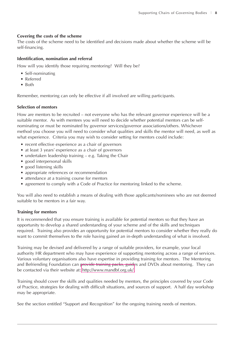#### **Covering the costs of the scheme**

The costs of the scheme need to be identified and decisions made about whether the scheme will be self-financing.

#### **Identification, nomination and referral**

How will you identify those requiring mentoring? Will they be?

- Self-nominating
- Referred
- Both

Remember, mentoring can only be effective if all involved are willing participants.

#### **Selection of mentors**

How are mentors to be recruited – not everyone who has the relevant governor experience will be a suitable mentor. As with mentees you will need to decide whether potential mentors can be selfnominating or must be nominated by governor services/governor associations/others. Whichever method you choose you will need to consider what qualities and skills the mentor will need, as well as what experience. Criteria you may wish to consider setting for mentors could include:

- recent effective experience as a chair of governors
- at least 3 years' experience as a chair of governors
- undertaken leadership training e.g. Taking the Chair
- good interpersonal skills
- good listening skills
- appropriate references or recommendation
- attendance at a training course for mentors
- agreement to comply with a Code of Practice for mentoring linked to the scheme.

You will also need to establish a means of dealing with those applicants/nominees who are not deemed suitable to be mentors in a fair way.

#### **Training for mentors**

It is recommended that you ensure training is available for potential mentors so that they have an opportunity to develop a shared understanding of your scheme and of the skills and techniques required. Training also provides an opportunity for potential mentors to consider whether they really do want to commit themselves to the role having gained an in-depth understanding of what is involved.

Training may be devised and delivered by a range of suitable providers, for example, your local authority HR department who may have experience of supporting mentoring across a range of services. Various voluntary organisations also have expertise in providing training for mentors. The Mentoring and Befriending Foundation can provide training packs, guides and DVDs about mentoring. They can be contacted via their website at: [http://www.mandbf.org.uk/.](http://www.mandbf.org.uk/)

Training should cover the skills and qualities needed by mentors, the principles covered by your Code of Practice, strategies for dealing with difficult situations, and sources of support. A half day workshop may be appropriate.

See the section entitled "Support and Recognition" for the ongoing training needs of mentors.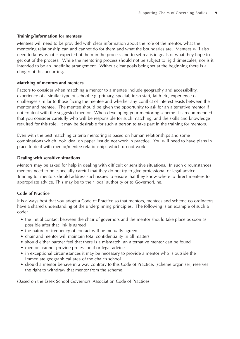#### **Training/information for mentees**

Mentees will need to be provided with clear information about the role of the mentor, what the mentoring relationship can and cannot do for them and what the boundaries are. Mentees will also need to know what is expected of them in the process and to set realistic goals of what they hope to get out of the process. While the mentoring process should not be subject to rigid timescales, nor is it intended to be an indefinite arrangement. Without clear goals being set at the beginning there is a danger of this occurring.

#### **Matching of mentors and mentees**

Factors to consider when matching a mentor to a mentee include geography and accessibility, experience of a similar type of school e.g. primary, special, fresh start, faith etc, experience of challenges similar to those facing the mentee and whether any conflict of interest exists between the mentor and mentee. The mentee should be given the opportunity to ask for an alternative mentor if not content with the suggested mentor. When developing your mentoring scheme it is recommended that you consider carefully who will be responsible for such matching, and the skills and knowledge required for this role. It may be desirable for such a person to take part in the training for mentors.

Even with the best matching criteria mentoring is based on human relationships and some combinations which look ideal on paper just do not work in practice. You will need to have plans in place to deal with mentor/mentee relationships which do not work.

#### **Dealing with sensitive situations**

Mentors may be asked for help in dealing with difficult or sensitive situations. In such circumstances mentors need to be especially careful that they do not try to give professional or legal advice. Training for mentors should address such issues to ensure that they know where to direct mentees for appropriate advice. This may be to their local authority or to GovernorLine.

#### **Code of Practice**

It is always best that you adopt a Code of Practice so that mentors, mentees and scheme co-ordinators have a shared understanding of the underpinning principles. The following is an example of such a code:

- the initial contact between the chair of governors and the mentor should take place as soon as possible after that link is agreed
- the nature or frequency of contact will be mutually agreed
- chair and mentor will maintain total confidentiality in all matters
- should either partner feel that there is a mismatch, an alternative mentor can be found
- mentors cannot provide professional or legal advice
- in exceptional circumstances it may be necessary to provide a mentor who is outside the immediate geographical area of the chair's school
- should a mentor behave in a way contrary to this Code of Practice, [scheme organiser] reserves the right to withdraw that mentor from the scheme.

(Based on the Essex School Governors' Association Code of Practice)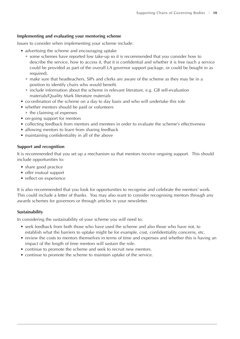#### **Implementing and evaluating your mentoring scheme**

Issues to consider when implementing your scheme include:

- advertising the scheme and encouraging uptake
	- some schemes have reported low take-up so it is recommended that you consider how to describe the service, how to access it, that it is confidential and whether it is free (such a service could be provided as part of the overall LA governor support package, or could be bought in as required).
	- make sure that headteachers, SIPs and clerks are aware of the scheme as they may be in a position to identify chairs who would benefit.
	- include information about the scheme in relevant literature, e.g. GB self-evaluation materials/Quality Mark literature materials
- co-ordination of the scheme on a day to day basis and who will undertake this role
- whether mentors should be paid or volunteers
- the claiming of expenses
- on-going support for mentors
- collecting feedback from mentors and mentees in order to evaluate the scheme's effectiveness
- allowing mentors to learn from sharing feedback
- maintaining confidentiality in all of the above

#### **Support and recognition**

It is recommended that you set up a mechanism so that mentors receive ongoing support. This should include opportunities to:

- share good practice
- offer mutual support
- reflect on experience

It is also recommended that you look for opportunities to recognise and celebrate the mentors' work. This could include a letter of thanks. You may also want to consider recognising mentors through any awards schemes for governors or through articles in your newsletter.

#### **Sustainability**

In considering the sustainability of your scheme you will need to:

- seek feedback from both those who have used the scheme and also those who have not, to establish what the barriers to uptake might be for example, cost, confidentiality concerns, etc.
- review the costs to mentors themselves in terms of time and expenses and whether this is having an impact of the length of time mentors will sustain the role.
- continue to promote the scheme and seek to recruit new mentors.
- continue to promote the scheme to maintain uptake of the service.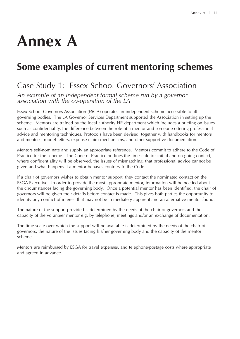## **Annex A**

## **Some examples of current mentoring schemes**

## Case Study 1: Essex School Governors' Association

*An example of an independent formal scheme run by a governor association with the co-operation of the LA*

Essex School Governors Association (ESGA) operates an independent scheme accessible to all governing bodies. The LA Governor Services Department supported the Association in setting up the scheme. Mentors are trained by the local authority HR department which includes a briefing on issues such as confidentiality, the difference between the role of a mentor and someone offering professional advice and mentoring techniques. Protocols have been devised, together with handbooks for mentors and mentees, model letters, expense claim mechanisms, and other supportive documentation.

Mentors self-nominate and supply an appropriate reference. Mentors commit to adhere to the Code of Practice for the scheme. The Code of Practice outlines the timescale for initial and on going contact, where confidentiality will be observed, the issues of mismatching, that professional advice cannot be given and what happens if a mentor behaves contrary to the Code. .

If a chair of governors wishes to obtain mentor support, they contact the nominated contact on the ESGA Executive. In order to provide the most appropriate mentor, information will be needed about the circumstances facing the governing body. Once a potential mentor has been identified, the chair of governors will be given their details before contact is made. This gives both parties the opportunity to identify any conflict of interest that may not be immediately apparent and an alternative mentor found.

The nature of the support provided is determined by the needs of the chair of governors and the capacity of the volunteer mentor e.g. by telephone, meetings and/or an exchange of documentation.

The time scale over which the support will be available is determined by the needs of the chair of governors, the nature of the issues facing his/her governing body and the capacity of the mentor scheme.

Mentors are reimbursed by ESGA for travel expenses, and telephone/postage costs where appropriate and agreed in advance.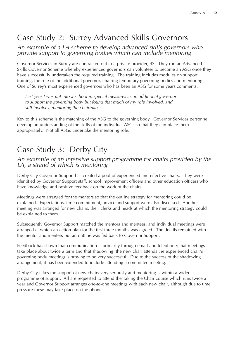## Case Study 2: Surrey Advanced Skills Governors

#### *An example of a LA scheme to develop advanced skills governors who provide support to governing bodies which can include mentoring*

Governor Services in Surrey are contracted out to a private provider, 4S. They run an Advanced Skills Governor Scheme whereby experienced governors can volunteer to become an ASG once they have successfully undertaken the required training. The training includes modules on support, training, the role of the additional governor, chairing temporary governing bodies and mentoring. One of Surrey's most experienced governors who has been an ASG for some years comments:

*Last year I was put into a school in special measures as an additional governor to support the governing body but found that much of my role involved, and still involves, mentoring the chairman.*

Key to this scheme is the matching of the ASG to the governing body. Governor Services personnel develop an understanding of the skills of the individual ASGs so that they can place them appropriately. Not all ASGs undertake the mentoring role.

## Case Study 3: Derby City

#### *An example of an intensive support programme for chairs provided by the LA, a strand of which is mentoring*

Derby City Governor Support has created a pool of experienced and effective chairs. They were identified by Governor Support staff, school improvement officers and other education officers who have knowledge and positive feedback on the work of the chairs.

Meetings were arranged for the mentors so that the outline strategy for mentoring could be explained. Expectations, time commitment, advice and support were also discussed. Another meeting was arranged for new chairs, their clerks and heads at which the mentoring strategy could be explained to them.

Subsequently Governor Support matched the mentors and mentees, and individual meetings were arranged at which an action plan for the first three months was agreed. The details remained with the mentor and mentee, but an outline was fed back to Governor Support.

Feedback has shown that communication is primarily through email and telephone; that meetings take place about twice a term and that shadowing (the new chair attends the experienced chair's governing body meeting) is proving to be very successful. Due to the success of the shadowing arrangement, it has been extended to include attending a committee meeting.

Derby City takes the support of new chairs very seriously and mentoring is within a wider programme of support. All are requested to attend the Taking the Chair course which runs twice a year and Governor Support arranges one-to-one meetings with each new chair, although due to time pressure these may take place on the phone.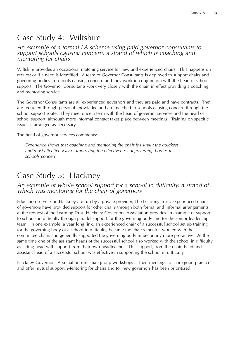### Case Study 4: Wiltshire

#### *An example of a formal LA scheme using paid governor consultants to support schools causing concern, a strand of which is coaching and mentoring for chairs*

Wiltshire provides an occasional matching service for new and experienced chairs. This happens on request or if a need is identified. A team of Governor Consultants is deployed to support chairs and governing bodies in schools causing concern and they work in conjunction with the head of school support. The Governor Consultants work very closely with the chair, in effect providing a coaching and mentoring service.

The Governor Consultants are all experienced governors and they are paid and have contracts. They are recruited through personal knowledge and are matched to schools causing concern through the school support route. They meet once a term with the head of governor services and the head of school support, although more informal contact takes place between meetings. Training on specific issues is arranged as necessary.

The head of governor services comments:

*Experience shows that coaching and mentoring the chair is usually the quickest and most effective way of improving the effectiveness of governing bodies in schools concern.* 

### Case Study 5: Hackney

#### *An example of whole school support for a school in difficulty, a strand of which was mentoring for the chair of governors*

Education services in Hackney are run by a private provider, The Learning Trust. Experienced chairs of governors have provided support for other chairs through both formal and informal arrangements at the request of the Learning Trust. Hackney Governors' Association provides an example of support to schools in difficulty through parallel support for the governing body and for the senior leadership team. In one example, a year long link, an experienced chair of a successful school set up training for the governing body of a school in difficulty, became the chair's mentor, worked with the committee chairs and generally supported the governing body in becoming more pro-active. At the same time one of the assistant heads of the successful school also worked with the school in difficulty as acting head with support from their own headteacher. This support, from the chair, head and assistant head of a successful school was effective in supporting the school in difficulty.

Hackney Governors' Association run small group workshops at their meetings to share good practice and offer mutual support. Mentoring for chairs and for new governors has been prioritized.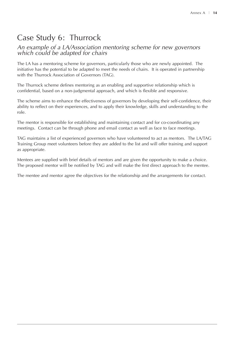## Case Study 6: Thurrock

#### *An example of a LA/Association mentoring scheme for new governors which could be adapted for chairs*

The LA has a mentoring scheme for governors, particularly those who are newly appointed. The initiative has the potential to be adapted to meet the needs of chairs. It is operated in partnership with the Thurrock Association of Governors (TAG).

The Thurrock scheme defines mentoring as an enabling and supportive relationship which is confidential, based on a non-judgmental approach, and which is flexible and responsive.

The scheme aims to enhance the effectiveness of governors by developing their self-confidence, their ability to reflect on their experiences, and to apply their knowledge, skills and understanding to the role.

The mentor is responsible for establishing and maintaining contact and for co-coordinating any meetings. Contact can be through phone and email contact as well as face to face meetings.

TAG maintains a list of experienced governors who have volunteered to act as mentors. The LA/TAG Training Group meet volunteers before they are added to the list and will offer training and support as appropriate.

Mentees are supplied with brief details of mentors and are given the opportunity to make a choice. The proposed mentor will be notified by TAG and will make the first direct approach to the mentee.

The mentee and mentor agree the objectives for the relationship and the arrangements for contact.